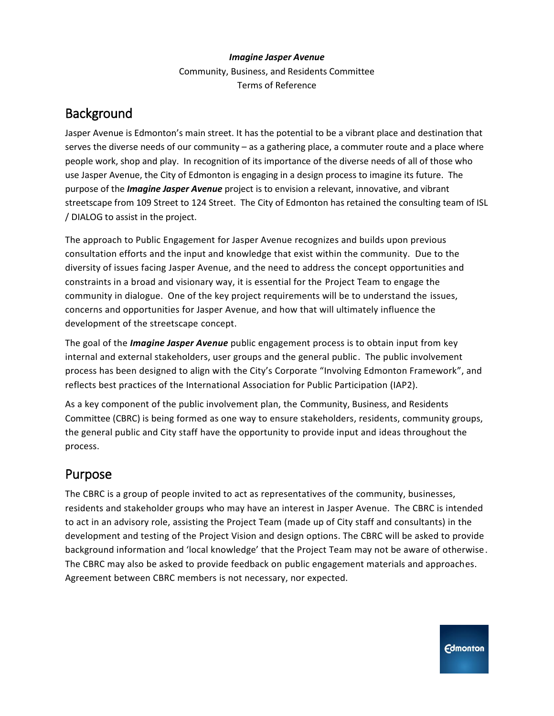#### *Imagine Jasper Avenue*

Community, Business, and Residents Committee Terms of Reference

## Background

Jasper Avenue is Edmonton's main street. It has the potential to be a vibrant place and destination that serves the diverse needs of our community – as a gathering place, a commuter route and a place where people work, shop and play. In recognition of its importance of the diverse needs of all of those who use Jasper Avenue, the City of Edmonton is engaging in a design process to imagine its future. The purpose of the *Imagine Jasper Avenue* project is to envision a relevant, innovative, and vibrant streetscape from 109 Street to 124 Street. The City of Edmonton has retained the consulting team of ISL / DIALOG to assist in the project.

The approach to Public Engagement for Jasper Avenue recognizes and builds upon previous consultation efforts and the input and knowledge that exist within the community. Due to the diversity of issues facing Jasper Avenue, and the need to address the concept opportunities and constraints in a broad and visionary way, it is essential for the Project Team to engage the community in dialogue. One of the key project requirements will be to understand the issues, concerns and opportunities for Jasper Avenue, and how that will ultimately influence the development of the streetscape concept.

The goal of the *Imagine Jasper Avenue* public engagement process is to obtain input from key internal and external stakeholders, user groups and the general public. The public involvement process has been designed to align with the City's Corporate "Involving Edmonton Framework", and reflects best practices of the International Association for Public Participation (IAP2).

As a key component of the public involvement plan, the Community, Business, and Residents Committee (CBRC) is being formed as one way to ensure stakeholders, residents, community groups, the general public and City staff have the opportunity to provide input and ideas throughout the process.

## Purpose

The CBRC is a group of people invited to act as representatives of the community, businesses, residents and stakeholder groups who may have an interest in Jasper Avenue. The CBRC is intended to act in an advisory role, assisting the Project Team (made up of City staff and consultants) in the development and testing of the Project Vision and design options. The CBRC will be asked to provide background information and 'local knowledge' that the Project Team may not be aware of otherwise. The CBRC may also be asked to provide feedback on public engagement materials and approaches. Agreement between CBRC members is not necessary, nor expected.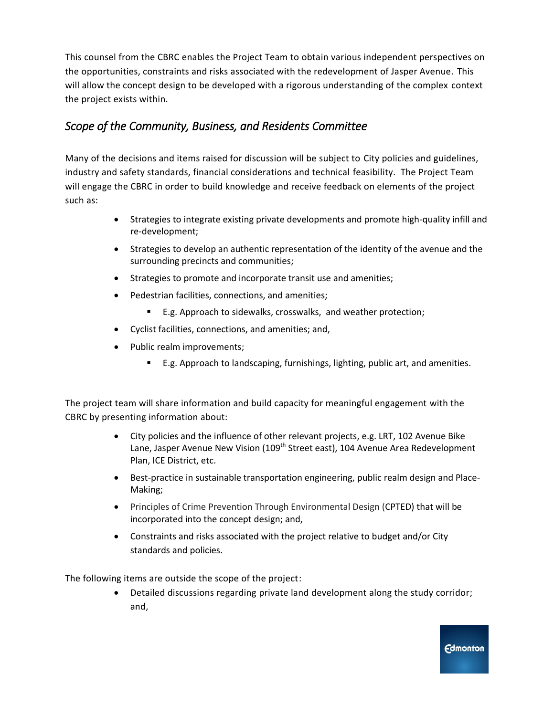This counsel from the CBRC enables the Project Team to obtain various independent perspectives on the opportunities, constraints and risks associated with the redevelopment of Jasper Avenue. This will allow the concept design to be developed with a rigorous understanding of the complex context the project exists within.

## *Scope of the Community, Business, and Residents Committee*

Many of the decisions and items raised for discussion will be subject to City policies and guidelines, industry and safety standards, financial considerations and technical feasibility. The Project Team will engage the CBRC in order to build knowledge and receive feedback on elements of the project such as:

- Strategies to integrate existing private developments and promote high-quality infill and re-development;
- Strategies to develop an authentic representation of the identity of the avenue and the surrounding precincts and communities;
- Strategies to promote and incorporate transit use and amenities;
- Pedestrian facilities, connections, and amenities;
	- E.g. Approach to sidewalks, crosswalks, and weather protection;
- Cyclist facilities, connections, and amenities; and,
- Public realm improvements;
	- E.g. Approach to landscaping, furnishings, lighting, public art, and amenities.

The project team will share information and build capacity for meaningful engagement with the CBRC by presenting information about:

- City policies and the influence of other relevant projects, e.g. LRT, 102 Avenue Bike Lane, Jasper Avenue New Vision (109<sup>th</sup> Street east), 104 Avenue Area Redevelopment Plan, ICE District, etc.
- Best-practice in sustainable transportation engineering, public realm design and Place-Making;
- Principles of Crime Prevention Through Environmental Design (CPTED) that will be incorporated into the concept design; and,
- Constraints and risks associated with the project relative to budget and/or City standards and policies.

The following items are outside the scope of the project:

 Detailed discussions regarding private land development along the study corridor; and,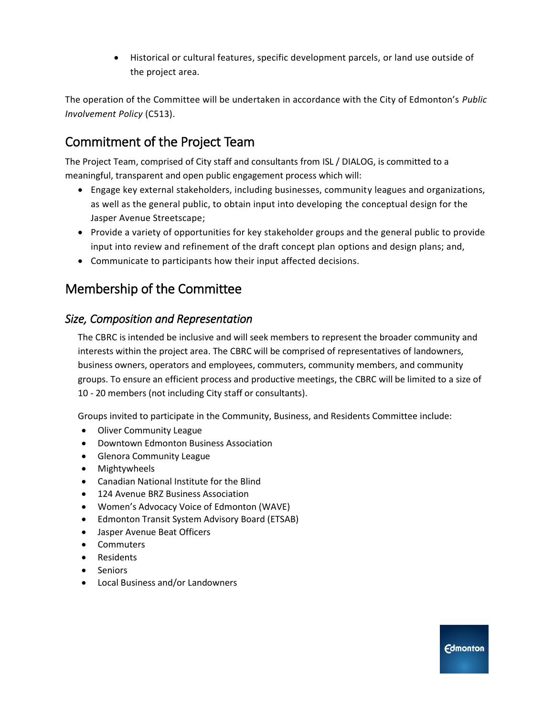Historical or cultural features, specific development parcels, or land use outside of the project area.

The operation of the Committee will be undertaken in accordance with the City of Edmonton's *Public Involvement Policy* (C513).

# Commitment of the Project Team

The Project Team, comprised of City staff and consultants from ISL / DIALOG, is committed to a meaningful, transparent and open public engagement process which will:

- Engage key external stakeholders, including businesses, community leagues and organizations, as well as the general public, to obtain input into developing the conceptual design for the Jasper Avenue Streetscape;
- Provide a variety of opportunities for key stakeholder groups and the general public to provide input into review and refinement of the draft concept plan options and design plans; and,
- Communicate to participants how their input affected decisions.

# Membership of the Committee

### *Size, Composition and Representation*

The CBRC is intended be inclusive and will seek members to represent the broader community and interests within the project area. The CBRC will be comprised of representatives of landowners, business owners, operators and employees, commuters, community members, and community groups. To ensure an efficient process and productive meetings, the CBRC will be limited to a size of 10 - 20 members (not including City staff or consultants).

Groups invited to participate in the Community, Business, and Residents Committee include:

- Oliver Community League
- Downtown Edmonton Business Association
- **•** Glenora Community League
- Mightywheels
- Canadian National Institute for the Blind
- 124 Avenue BRZ Business Association
- Women's Advocacy Voice of Edmonton (WAVE)
- Edmonton Transit System Advisory Board (ETSAB)
- Jasper Avenue Beat Officers
- Commuters
- Residents
- Seniors
- Local Business and/or Landowners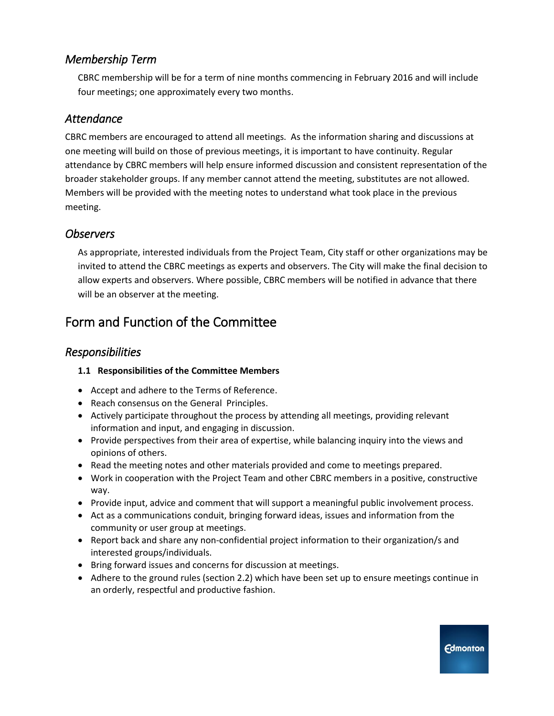## *Membership Term*

CBRC membership will be for a term of nine months commencing in February 2016 and will include four meetings; one approximately every two months.

### *Attendance*

CBRC members are encouraged to attend all meetings. As the information sharing and discussions at one meeting will build on those of previous meetings, it is important to have continuity. Regular attendance by CBRC members will help ensure informed discussion and consistent representation of the broader stakeholder groups. If any member cannot attend the meeting, substitutes are not allowed. Members will be provided with the meeting notes to understand what took place in the previous meeting.

## *Observers*

As appropriate, interested individuals from the Project Team, City staff or other organizations may be invited to attend the CBRC meetings as experts and observers. The City will make the final decision to allow experts and observers. Where possible, CBRC members will be notified in advance that there will be an observer at the meeting.

# Form and Function of the Committee

## *Responsibilities*

### **1.1 Responsibilities of the Committee Members**

- Accept and adhere to the Terms of Reference.
- Reach consensus on the General Principles.
- Actively participate throughout the process by attending all meetings, providing relevant information and input, and engaging in discussion.
- Provide perspectives from their area of expertise, while balancing inquiry into the views and opinions of others.
- Read the meeting notes and other materials provided and come to meetings prepared.
- Work in cooperation with the Project Team and other CBRC members in a positive, constructive way.
- Provide input, advice and comment that will support a meaningful public involvement process.
- Act as a communications conduit, bringing forward ideas, issues and information from the community or user group at meetings.
- Report back and share any non-confidential project information to their organization/s and interested groups/individuals.
- Bring forward issues and concerns for discussion at meetings.
- Adhere to the ground rules (section 2.2) which have been set up to ensure meetings continue in an orderly, respectful and productive fashion.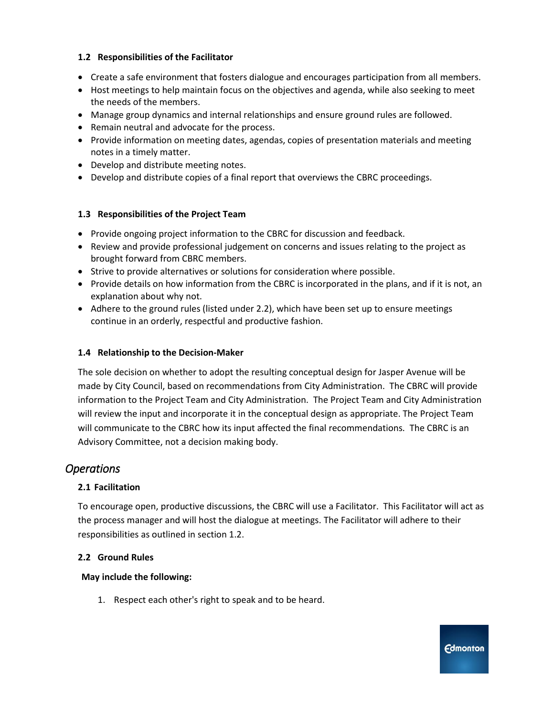#### **1.2 Responsibilities of the Facilitator**

- Create a safe environment that fosters dialogue and encourages participation from all members.
- Host meetings to help maintain focus on the objectives and agenda, while also seeking to meet the needs of the members.
- Manage group dynamics and internal relationships and ensure ground rules are followed.
- Remain neutral and advocate for the process.
- Provide information on meeting dates, agendas, copies of presentation materials and meeting notes in a timely matter.
- Develop and distribute meeting notes.
- Develop and distribute copies of a final report that overviews the CBRC proceedings.

#### **1.3 Responsibilities of the Project Team**

- Provide ongoing project information to the CBRC for discussion and feedback.
- Review and provide professional judgement on concerns and issues relating to the project as brought forward from CBRC members.
- Strive to provide alternatives or solutions for consideration where possible.
- Provide details on how information from the CBRC is incorporated in the plans, and if it is not, an explanation about why not.
- Adhere to the ground rules (listed under 2.2), which have been set up to ensure meetings continue in an orderly, respectful and productive fashion.

#### **1.4 Relationship to the Decision-Maker**

The sole decision on whether to adopt the resulting conceptual design for Jasper Avenue will be made by City Council, based on recommendations from City Administration. The CBRC will provide information to the Project Team and City Administration. The Project Team and City Administration will review the input and incorporate it in the conceptual design as appropriate. The Project Team will communicate to the CBRC how its input affected the final recommendations. The CBRC is an Advisory Committee, not a decision making body.

### *Operations*

#### **2.1 Facilitation**

To encourage open, productive discussions, the CBRC will use a Facilitator. This Facilitator will act as the process manager and will host the dialogue at meetings. The Facilitator will adhere to their responsibilities as outlined in section 1.2.

#### **2.2 Ground Rules**

#### **May include the following:**

1. Respect each other's right to speak and to be heard.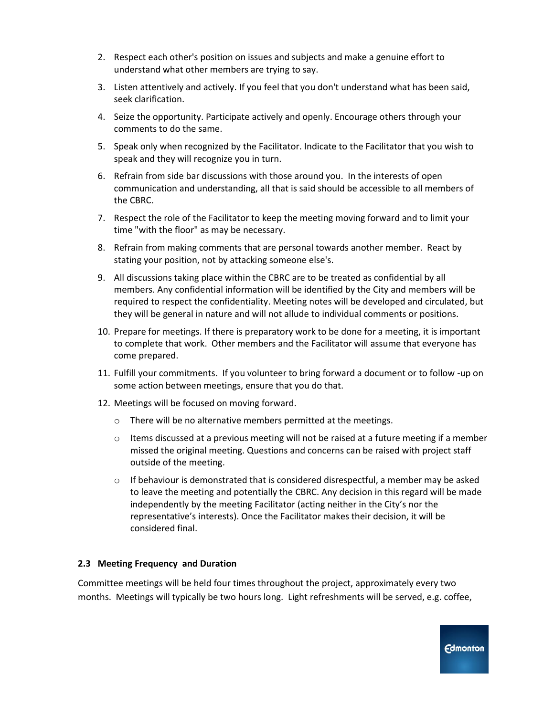- 2. Respect each other's position on issues and subjects and make a genuine effort to understand what other members are trying to say.
- 3. Listen attentively and actively. If you feel that you don't understand what has been said, seek clarification.
- 4. Seize the opportunity. Participate actively and openly. Encourage others through your comments to do the same.
- 5. Speak only when recognized by the Facilitator. Indicate to the Facilitator that you wish to speak and they will recognize you in turn.
- 6. Refrain from side bar discussions with those around you. In the interests of open communication and understanding, all that is said should be accessible to all members of the CBRC.
- 7. Respect the role of the Facilitator to keep the meeting moving forward and to limit your time "with the floor" as may be necessary.
- 8. Refrain from making comments that are personal towards another member. React by stating your position, not by attacking someone else's.
- 9. All discussions taking place within the CBRC are to be treated as confidential by all members. Any confidential information will be identified by the City and members will be required to respect the confidentiality. Meeting notes will be developed and circulated, but they will be general in nature and will not allude to individual comments or positions.
- 10. Prepare for meetings. If there is preparatory work to be done for a meeting, it is important to complete that work. Other members and the Facilitator will assume that everyone has come prepared.
- 11. Fulfill your commitments. If you volunteer to bring forward a document or to follow -up on some action between meetings, ensure that you do that.
- 12. Meetings will be focused on moving forward.
	- o There will be no alternative members permitted at the meetings.
	- $\circ$  Items discussed at a previous meeting will not be raised at a future meeting if a member missed the original meeting. Questions and concerns can be raised with project staff outside of the meeting.
	- $\circ$  If behaviour is demonstrated that is considered disrespectful, a member may be asked to leave the meeting and potentially the CBRC. Any decision in this regard will be made independently by the meeting Facilitator (acting neither in the City's nor the representative's interests). Once the Facilitator makes their decision, it will be considered final.

#### **2.3 Meeting Frequency and Duration**

Committee meetings will be held four times throughout the project, approximately every two months. Meetings will typically be two hours long. Light refreshments will be served, e.g. coffee,